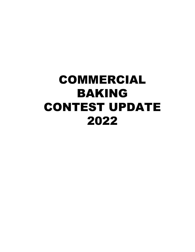## COMMERCIAL BAKING CONTEST UPDATE 2022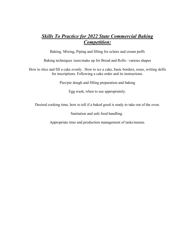## *Skills To Practice for 2022 State Commercial Baking Competition:*

Baking. Mixing, Piping and filling for eclairs and cream puffs

Baking techniques /uses/make up for Bread and Rolls– various shapes

How to slice and fill a cake evenly . How to ice a cake, basic borders, roses, writing skills for inscriptions. Following a cake order and its instructions.

Pies/pie dough and filling preparation and baking

Egg wash, when to use appropriately.

Desired cooking time, how to tell if a baked good is ready to take out of the oven.

Sanitation and safe food handling.

Appropriate time and production management of tasks/menus.